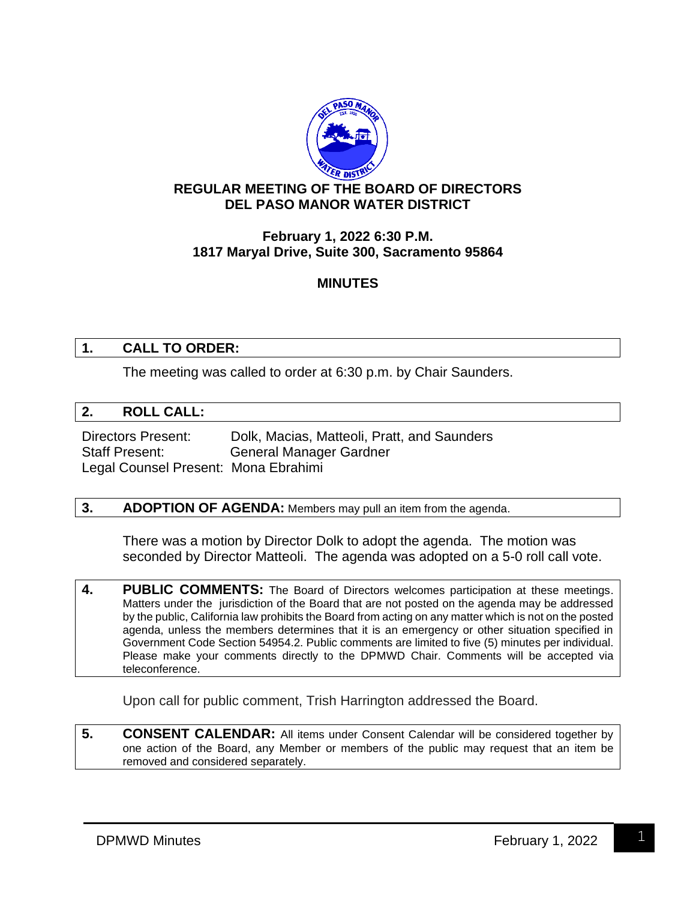

# **REGULAR MEETING OF THE BOARD OF DIRECTORS DEL PASO MANOR WATER DISTRICT**

# **February 1, 2022 6:30 P.M. 1817 Maryal Drive, Suite 300, Sacramento 95864**

# **MINUTES**

# **1. CALL TO ORDER:**

The meeting was called to order at 6:30 p.m. by Chair Saunders.

#### **2. ROLL CALL:**

Directors Present: Dolk, Macias, Matteoli, Pratt, and Saunders Staff Present: General Manager Gardner Legal Counsel Present: Mona Ebrahimi

#### **3. ADOPTION OF AGENDA:** Members may pull an item from the agenda.

There was a motion by Director Dolk to adopt the agenda. The motion was seconded by Director Matteoli. The agenda was adopted on a 5-0 roll call vote.

**4. PUBLIC COMMENTS:** The Board of Directors welcomes participation at these meetings. Matters under the jurisdiction of the Board that are not posted on the agenda may be addressed by the public, California law prohibits the Board from acting on any matter which is not on the posted agenda, unless the members determines that it is an emergency or other situation specified in Government Code Section 54954.2. Public comments are limited to five (5) minutes per individual. Please make your comments directly to the DPMWD Chair. Comments will be accepted via teleconference.

Upon call for public comment, Trish Harrington addressed the Board.

**5. CONSENT CALENDAR:** All items under Consent Calendar will be considered together by one action of the Board, any Member or members of the public may request that an item be removed and considered separately.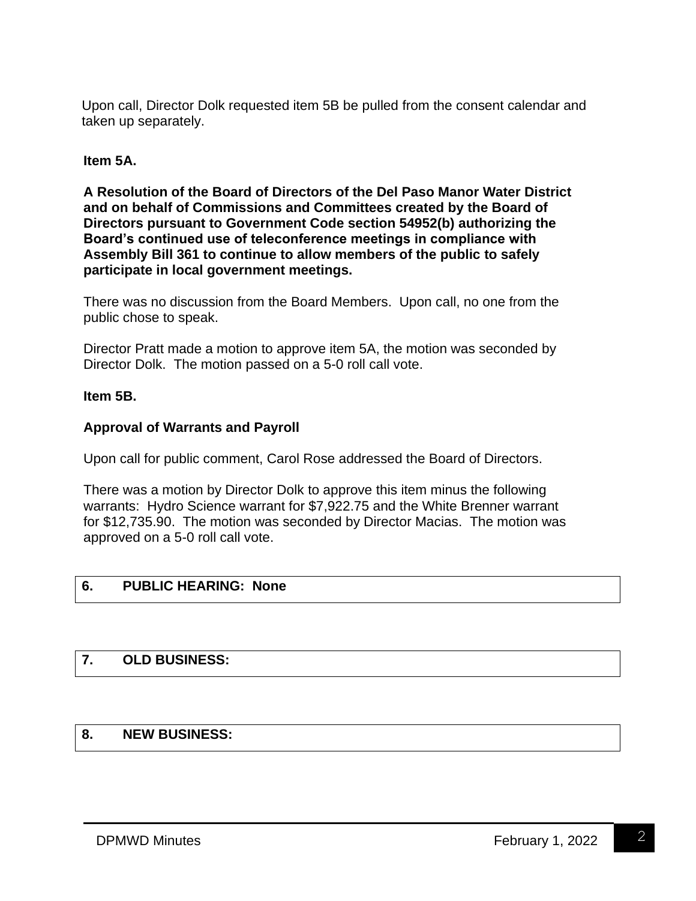Upon call, Director Dolk requested item 5B be pulled from the consent calendar and taken up separately.

#### **Item 5A.**

**A Resolution of the Board of Directors of the Del Paso Manor Water District and on behalf of Commissions and Committees created by the Board of Directors pursuant to Government Code section 54952(b) authorizing the Board's continued use of teleconference meetings in compliance with Assembly Bill 361 to continue to allow members of the public to safely participate in local government meetings.**

There was no discussion from the Board Members. Upon call, no one from the public chose to speak.

Director Pratt made a motion to approve item 5A, the motion was seconded by Director Dolk. The motion passed on a 5-0 roll call vote.

### **Item 5B.**

# **Approval of Warrants and Payroll**

Upon call for public comment, Carol Rose addressed the Board of Directors.

There was a motion by Director Dolk to approve this item minus the following warrants: Hydro Science warrant for \$7,922.75 and the White Brenner warrant for \$12,735.90. The motion was seconded by Director Macias. The motion was approved on a 5-0 roll call vote.

#### **6. PUBLIC HEARING: None**

# **7. OLD BUSINESS:**

# **8. NEW BUSINESS:**

2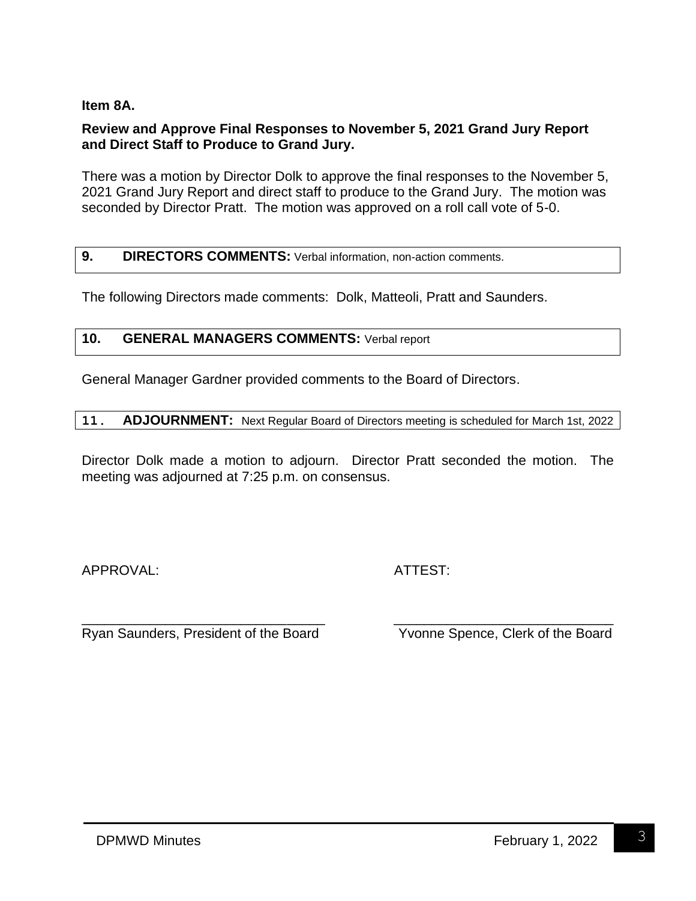### **Item 8A.**

### **Review and Approve Final Responses to November 5, 2021 Grand Jury Report and Direct Staff to Produce to Grand Jury.**

There was a motion by Director Dolk to approve the final responses to the November 5, 2021 Grand Jury Report and direct staff to produce to the Grand Jury. The motion was seconded by Director Pratt. The motion was approved on a roll call vote of 5-0.

### **9. DIRECTORS COMMENTS:** Verbal information, non-action comments.

The following Directors made comments: Dolk, Matteoli, Pratt and Saunders.

#### **10. GENERAL MANAGERS COMMENTS:** Verbal report

General Manager Gardner provided comments to the Board of Directors.

| 11. |  |  |  | <b>ADJOURNMENT:</b> Next Regular Board of Directors meeting is scheduled for March 1st, 2022 |
|-----|--|--|--|----------------------------------------------------------------------------------------------|
|-----|--|--|--|----------------------------------------------------------------------------------------------|

Director Dolk made a motion to adjourn. Director Pratt seconded the motion. The meeting was adjourned at 7:25 p.m. on consensus.

APPROVAL: ATTEST:

\_\_\_\_\_\_\_\_\_\_\_\_\_\_\_\_\_\_\_\_\_\_\_\_\_\_\_\_\_\_\_\_ \_\_\_\_\_\_\_\_\_\_\_\_\_\_\_\_\_\_\_\_\_\_\_\_\_\_\_\_\_ Ryan Saunders, President of the Board Yvonne Spence, Clerk of the Board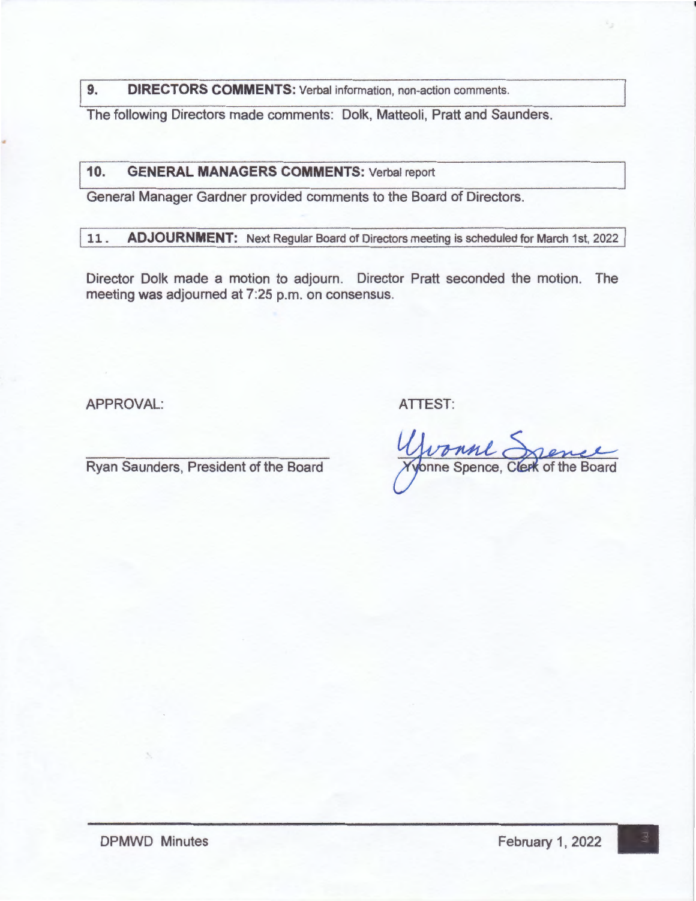**9. DIRECTORS COMMENTS:** Verbal information, non-action comments.

The following Directors made comments: Dolk, Matteoli, Pratt and Saunders .

110. **GENERAL MANAGERS COMMENTS:** Verbal report

General Manager Gardner provided comments to the Board of Directors.

11. **ADJOURNMENT:** Next Regular Board of Directors meeting is scheduled for March 1st, 2022

Director Dolk made a motion to adjourn. Director Pratt seconded the motion. The meeting was adjourned at 7:25 p.m. on consensus.

APPROVAL: ATTEST:

..

Ryan Saunders, President of the Board

Wronne Spence